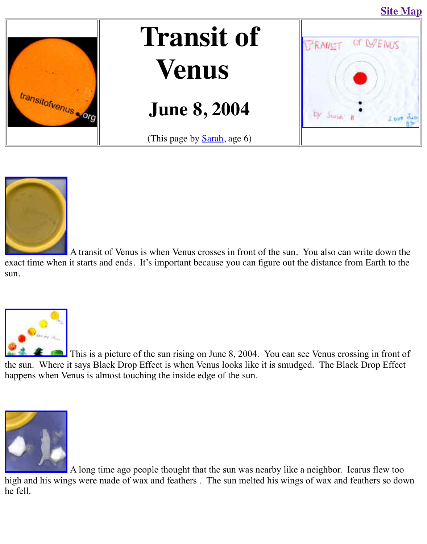

## **Venus**

## **June 8, 2004**







A transit of Venus is when Venus crosses in front of the sun. You also can write down the down the down the sun [exact time when](http://old.transitofvenus.org/sarahyellow.jpg) it starts and ends. It's important because you can figure out the distance from sun.



 $\Box$  This is a picture of the sun rising on June 8, 2004. You can see Venus crossing the sun. Where it says Black Drop Effect is when Venus looks like it is smudged. The Black I happens when Venus is almost touching the inside edge of the sun.



A long time ago people thought that the sun was nearby like a neighbor. Icar high and his wings were made of wax and feathers . The sun melted his wings of wax and feathers [he fell.](http://old.transitofvenus.org/sarahicarus.jpg)